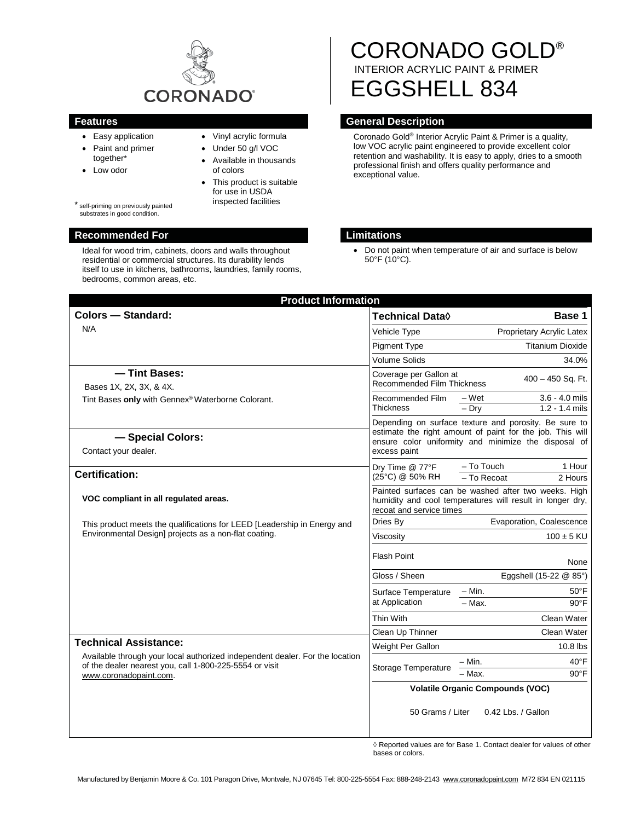

- Easy application
- Paint and primer together\*
- Low odor
- Vinyl acrylic formula
- Under 50 g/l VOC
	- Available in thousands of colors
	- $\bullet$  This product is suitable for use in USDA inspected facilities

\* self-priming on previously painted substrates in good condition.

### **Recommended For Limitations**

Ideal for wood trim, cabinets, doors and walls throughout residential or commercial structures. Its durability lends itself to use in kitchens, bathrooms, laundries, family rooms, bedrooms, common areas, etc.

# CORONADO GOLD® INTERIOR ACRYLIC PAINT & PRIMER EGGSHELL 834

# **Features General Description**

Coronado Gold® Interior Acrylic Paint & Primer is a quality, low VOC acrylic paint engineered to provide excellent color retention and washability. It is easy to apply, dries to a smooth professional finish and offers quality performance and exceptional value.

• Do not paint when temperature of air and surface is below 50°F (10°C).

| <b>Colors - Standard:</b>                                                                                                                                                                         | Technical Data $\Diamond$                                                                                                                     | Base 1                                                                                                                                                                     |
|---------------------------------------------------------------------------------------------------------------------------------------------------------------------------------------------------|-----------------------------------------------------------------------------------------------------------------------------------------------|----------------------------------------------------------------------------------------------------------------------------------------------------------------------------|
| N/A                                                                                                                                                                                               | Vehicle Type                                                                                                                                  | Proprietary Acrylic Latex                                                                                                                                                  |
|                                                                                                                                                                                                   | <b>Pigment Type</b>                                                                                                                           | <b>Titanium Dioxide</b>                                                                                                                                                    |
|                                                                                                                                                                                                   | <b>Volume Solids</b>                                                                                                                          | 34.0%                                                                                                                                                                      |
| - Tint Bases:<br>Bases 1X, 2X, 3X, & 4X.                                                                                                                                                          | Coverage per Gallon at<br><b>Recommended Film Thickness</b>                                                                                   | 400 - 450 Sq. Ft.                                                                                                                                                          |
| Tint Bases only with Gennex® Waterborne Colorant.                                                                                                                                                 | Recommended Film<br><b>Thickness</b>                                                                                                          | – Wet<br>$3.6 - 4.0$ mils<br>$1.2 - 1.4$ mils<br>$-$ Drv                                                                                                                   |
| - Special Colors:<br>Contact your dealer.                                                                                                                                                         | excess paint                                                                                                                                  | Depending on surface texture and porosity. Be sure to<br>estimate the right amount of paint for the job. This will<br>ensure color uniformity and minimize the disposal of |
| <b>Certification:</b>                                                                                                                                                                             | Dry Time @ 77°F<br>(25°C) @ 50% RH                                                                                                            | - To Touch<br>1 Hour<br>- To Recoat<br>2 Hours                                                                                                                             |
| VOC compliant in all regulated areas.                                                                                                                                                             | Painted surfaces can be washed after two weeks. High<br>humidity and cool temperatures will result in longer dry,<br>recoat and service times |                                                                                                                                                                            |
| This product meets the qualifications for LEED [Leadership in Energy and<br>Environmental Design] projects as a non-flat coating.                                                                 | Dries By                                                                                                                                      | Evaporation, Coalescence                                                                                                                                                   |
|                                                                                                                                                                                                   | Viscosity                                                                                                                                     | $100 \pm 5$ KU                                                                                                                                                             |
|                                                                                                                                                                                                   | <b>Flash Point</b>                                                                                                                            | None                                                                                                                                                                       |
|                                                                                                                                                                                                   | Gloss / Sheen                                                                                                                                 | Eggshell (15-22 @ 85°)                                                                                                                                                     |
|                                                                                                                                                                                                   | Surface Temperature<br>at Application                                                                                                         | – Min.<br>$50^{\circ}$ F<br>$-$ Max.<br>$90^{\circ}$ F                                                                                                                     |
|                                                                                                                                                                                                   | Thin With                                                                                                                                     | Clean Water                                                                                                                                                                |
|                                                                                                                                                                                                   | Clean Up Thinner                                                                                                                              | Clean Water                                                                                                                                                                |
| <b>Technical Assistance:</b><br>Available through your local authorized independent dealer. For the location<br>of the dealer nearest you, call 1-800-225-5554 or visit<br>www.coronadopaint.com. | Weight Per Gallon                                                                                                                             | $10.8$ lbs                                                                                                                                                                 |
|                                                                                                                                                                                                   | Storage Temperature                                                                                                                           | $40^{\circ}$ F<br>– Min.<br>- Max.<br>$90^{\circ}$ F                                                                                                                       |
|                                                                                                                                                                                                   |                                                                                                                                               | <b>Volatile Organic Compounds (VOC)</b>                                                                                                                                    |
|                                                                                                                                                                                                   | 50 Grams / Liter                                                                                                                              | 0.42 Lbs. / Gallon                                                                                                                                                         |

 $\Diamond$  Reported values are for Base 1. Contact dealer for values of other bases or colors.